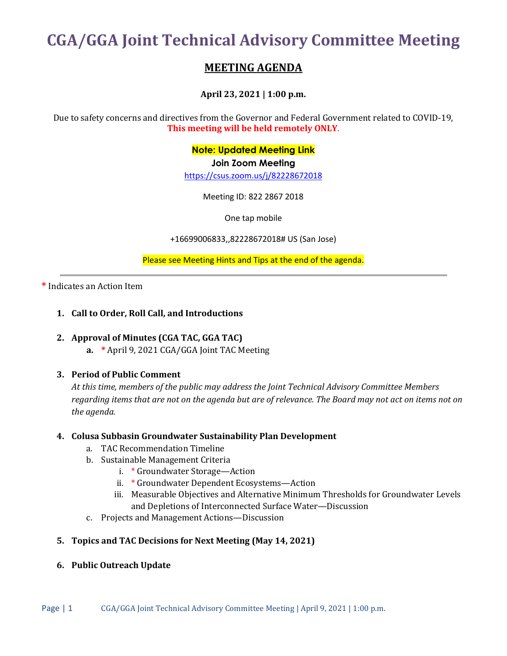**CGA/GGA Joint Technical Advisory Committee Meeting**

# **MEETING AGENDA**

**April 23, 2021 | 1:00 p.m.**

Due to safety concerns and directives from the Governor and Federal Government related to COVID-19, **This meeting will be held remotely ONLY**.

**Note: Updated Meeting Link**

**Join Zoom Meeting**

<https://csus.zoom.us/j/82228672018>

Meeting ID: 822 2867 2018

One tap mobile

+16699006833,,82228672018# US (San Jose)

Please see Meeting Hints and Tips at the end of the agenda.

#### **\*** Indicates an Action Item

#### **1. Call to Order, Roll Call, and Introductions**

#### **2. Approval of Minutes (CGA TAC, GGA TAC)**

**a. \*** April 9, 2021 CGA/GGA Joint TAC Meeting

#### **3. Period of Public Comment**

*At this time, members of the public may address the Joint Technical Advisory Committee Members regarding items that are not on the agenda but are of relevance. The Board may not act on items not on the agenda.*

#### **4. Colusa Subbasin Groundwater Sustainability Plan Development**

- a. TAC Recommendation Timeline
- b. Sustainable Management Criteria
	- i. \* Groundwater Storage—Action
	- ii. \* Groundwater Dependent Ecosystems—Action
	- iii. Measurable Objectives and Alternative Minimum Thresholds for Groundwater Levels and Depletions of Interconnected Surface Water—Discussion
- c. Projects and Management Actions—Discussion

#### **5. Topics and TAC Decisions for Next Meeting (May 14, 2021)**

#### **6. Public Outreach Update**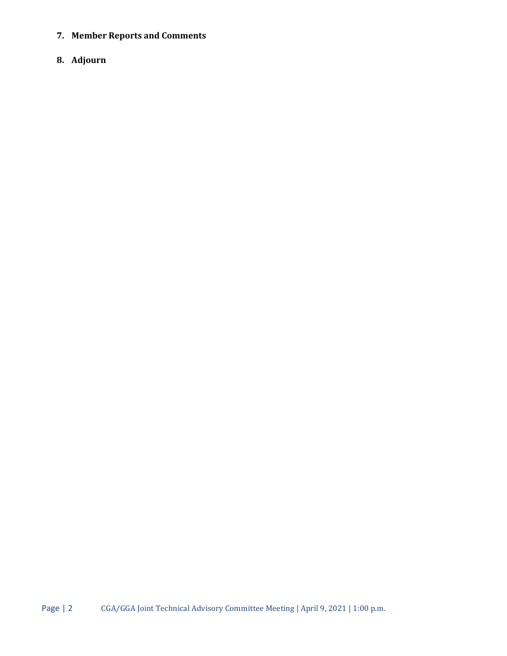**7. Member Reports and Comments**

## **8. Adjourn**